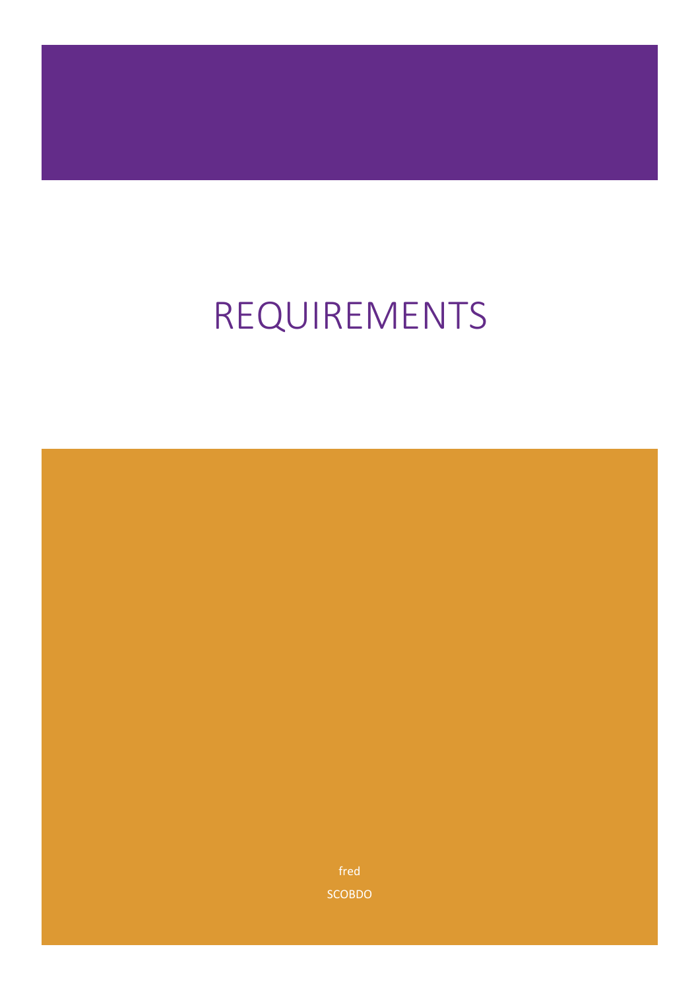# REQUIREMENTS

fred **SCOBDO**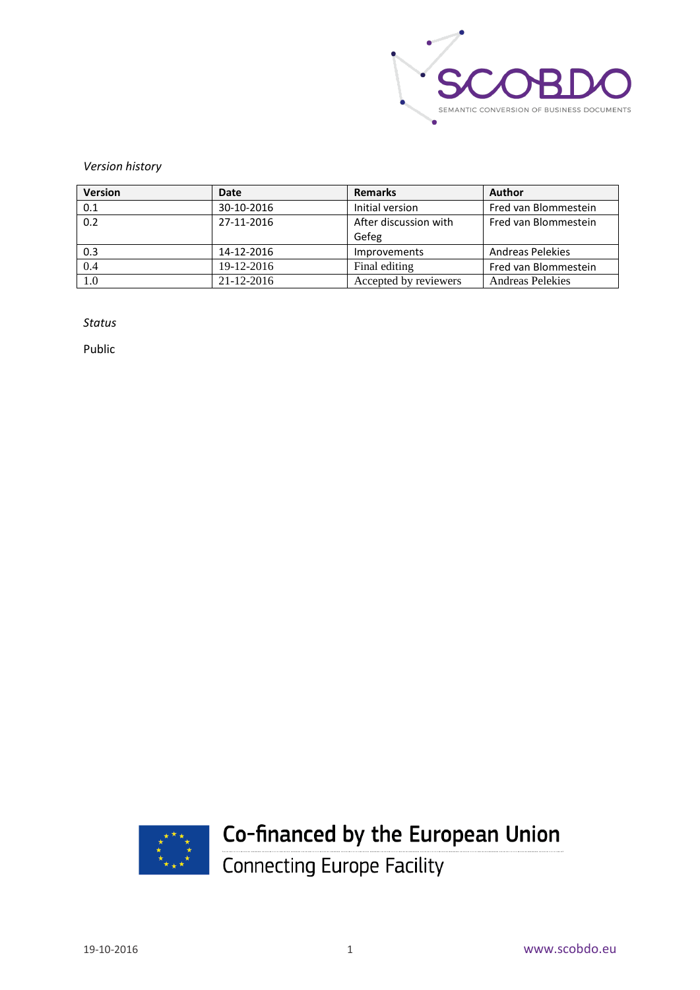

#### *Version history*

| <b>Version</b> | Date       | <b>Remarks</b>        | <b>Author</b>           |
|----------------|------------|-----------------------|-------------------------|
| 0.1            | 30-10-2016 | Initial version       | Fred van Blommestein    |
| 0.2            | 27-11-2016 | After discussion with | Fred van Blommestein    |
|                |            | Gefeg                 |                         |
| 0.3            | 14-12-2016 | <b>Improvements</b>   | <b>Andreas Pelekies</b> |
| 0.4            | 19-12-2016 | Final editing         | Fred van Blommestein    |
| 1.0            | 21-12-2016 | Accepted by reviewers | <b>Andreas Pelekies</b> |

*Status*

Public



# Co-financed by the European Union

Connecting Europe Facility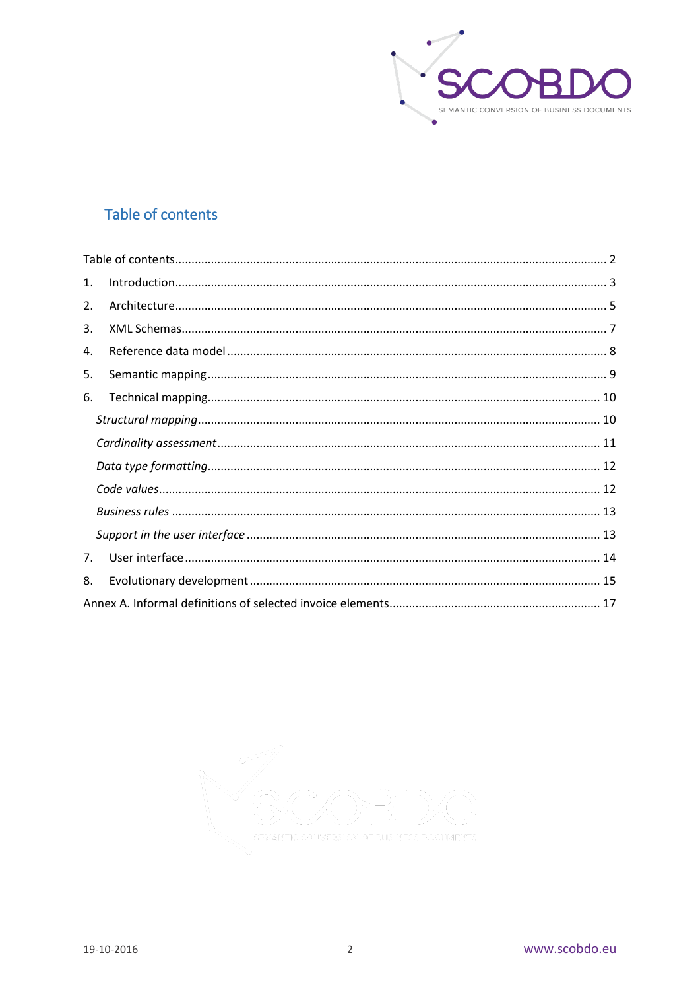

# <span id="page-2-0"></span>Table of contents

| 1. |  |
|----|--|
| 2. |  |
| 3. |  |
| 4. |  |
| 5. |  |
| 6. |  |
|    |  |
|    |  |
|    |  |
|    |  |
|    |  |
|    |  |
| 7. |  |
| 8. |  |
|    |  |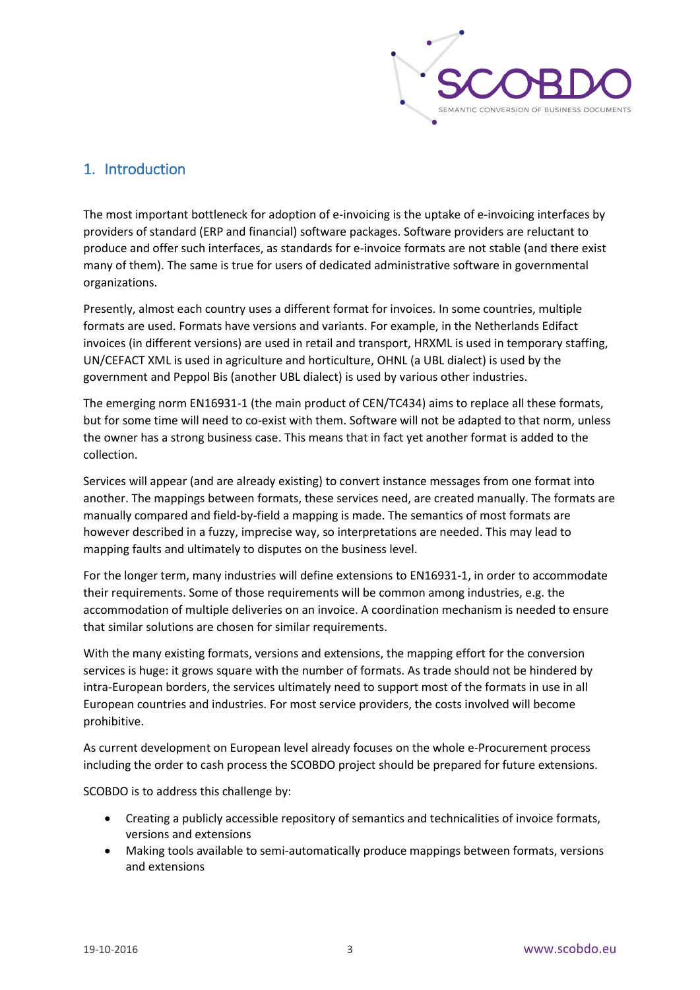

# <span id="page-3-0"></span>1. Introduction

The most important bottleneck for adoption of e-invoicing is the uptake of e-invoicing interfaces by providers of standard (ERP and financial) software packages. Software providers are reluctant to produce and offer such interfaces, as standards for e-invoice formats are not stable (and there exist many of them). The same is true for users of dedicated administrative software in governmental organizations.

Presently, almost each country uses a different format for invoices. In some countries, multiple formats are used. Formats have versions and variants. For example, in the Netherlands Edifact invoices (in different versions) are used in retail and transport, HRXML is used in temporary staffing, UN/CEFACT XML is used in agriculture and horticulture, OHNL (a UBL dialect) is used by the government and Peppol Bis (another UBL dialect) is used by various other industries.

The emerging norm EN16931-1 (the main product of CEN/TC434) aims to replace all these formats, but for some time will need to co-exist with them. Software will not be adapted to that norm, unless the owner has a strong business case. This means that in fact yet another format is added to the collection.

Services will appear (and are already existing) to convert instance messages from one format into another. The mappings between formats, these services need, are created manually. The formats are manually compared and field-by-field a mapping is made. The semantics of most formats are however described in a fuzzy, imprecise way, so interpretations are needed. This may lead to mapping faults and ultimately to disputes on the business level.

For the longer term, many industries will define extensions to EN16931-1, in order to accommodate their requirements. Some of those requirements will be common among industries, e.g. the accommodation of multiple deliveries on an invoice. A coordination mechanism is needed to ensure that similar solutions are chosen for similar requirements.

With the many existing formats, versions and extensions, the mapping effort for the conversion services is huge: it grows square with the number of formats. As trade should not be hindered by intra-European borders, the services ultimately need to support most of the formats in use in all European countries and industries. For most service providers, the costs involved will become prohibitive.

As current development on European level already focuses on the whole e-Procurement process including the order to cash process the SCOBDO project should be prepared for future extensions.

SCOBDO is to address this challenge by:

- Creating a publicly accessible repository of semantics and technicalities of invoice formats, versions and extensions
- Making tools available to semi-automatically produce mappings between formats, versions and extensions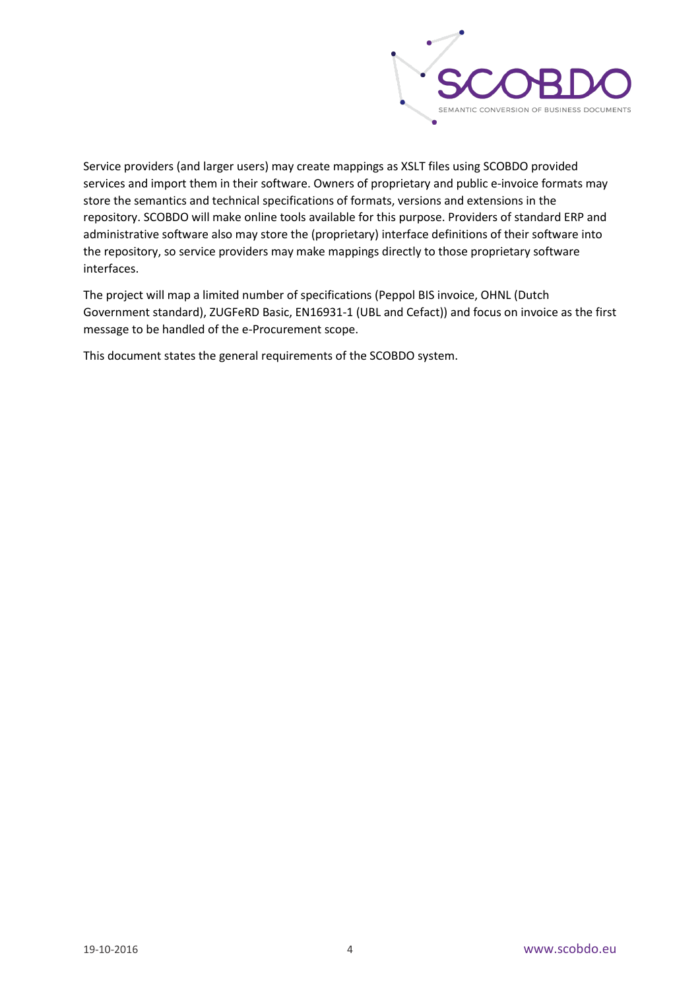

Service providers (and larger users) may create mappings as XSLT files using SCOBDO provided services and import them in their software. Owners of proprietary and public e-invoice formats may store the semantics and technical specifications of formats, versions and extensions in the repository. SCOBDO will make online tools available for this purpose. Providers of standard ERP and administrative software also may store the (proprietary) interface definitions of their software into the repository, so service providers may make mappings directly to those proprietary software interfaces.

The project will map a limited number of specifications (Peppol BIS invoice, OHNL (Dutch Government standard), ZUGFeRD Basic, EN16931-1 (UBL and Cefact)) and focus on invoice as the first message to be handled of the e-Procurement scope.

This document states the general requirements of the SCOBDO system.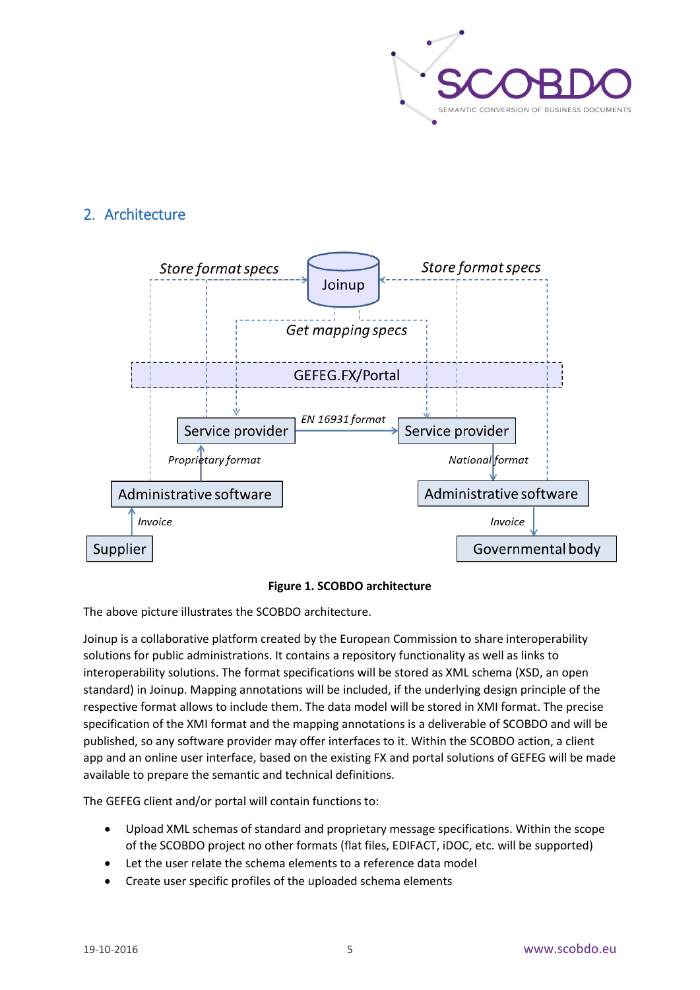

# <span id="page-5-0"></span>2. Architecture



#### **Figure 1. SCOBDO architecture**

The above picture illustrates the SCOBDO architecture.

Joinup is a collaborative platform created by the European Commission to share interoperability solutions for public administrations. It contains a repository functionality as well as links to interoperability solutions. The format specifications will be stored as XML schema (XSD, an open standard) in Joinup. Mapping annotations will be included, if the underlying design principle of the respective format allows to include them. The data model will be stored in XMI format. The precise specification of the XMI format and the mapping annotations is a deliverable of SCOBDO and will be published, so any software provider may offer interfaces to it. Within the SCOBDO action, a client app and an online user interface, based on the existing FX and portal solutions of GEFEG will be made available to prepare the semantic and technical definitions.

The GEFEG client and/or portal will contain functions to:

- Upload XML schemas of standard and proprietary message specifications. Within the scope of the SCOBDO project no other formats (flat files, EDIFACT, iDOC, etc. will be supported)
- Let the user relate the schema elements to a reference data model
- Create user specific profiles of the uploaded schema elements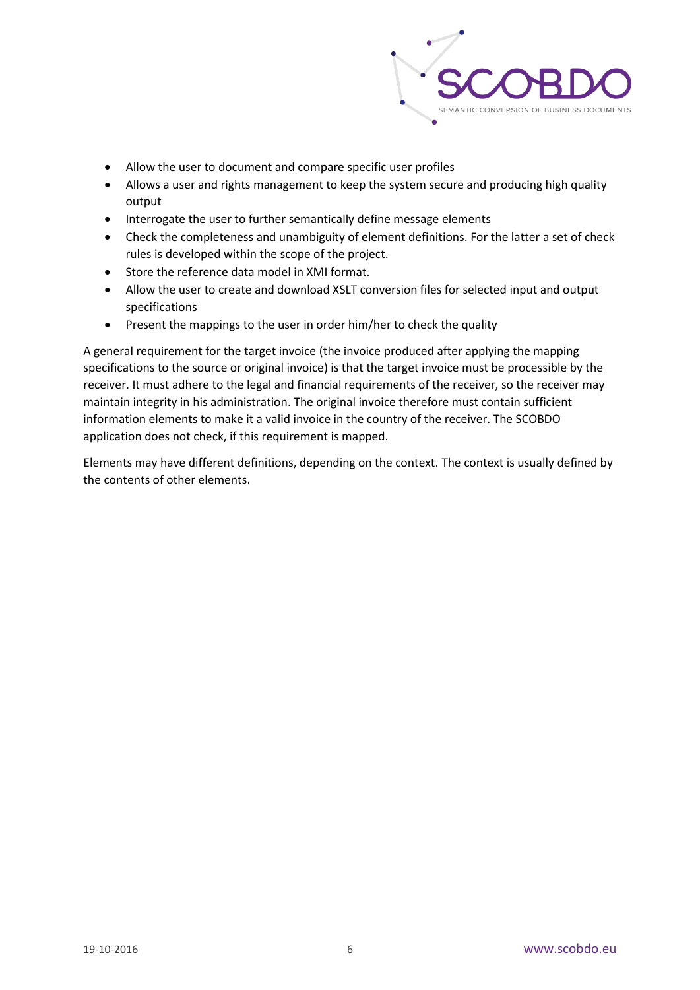

- Allow the user to document and compare specific user profiles
- Allows a user and rights management to keep the system secure and producing high quality output
- Interrogate the user to further semantically define message elements
- Check the completeness and unambiguity of element definitions. For the latter a set of check rules is developed within the scope of the project.
- Store the reference data model in XMI format.
- Allow the user to create and download XSLT conversion files for selected input and output specifications
- Present the mappings to the user in order him/her to check the quality

A general requirement for the target invoice (the invoice produced after applying the mapping specifications to the source or original invoice) is that the target invoice must be processible by the receiver. It must adhere to the legal and financial requirements of the receiver, so the receiver may maintain integrity in his administration. The original invoice therefore must contain sufficient information elements to make it a valid invoice in the country of the receiver. The SCOBDO application does not check, if this requirement is mapped.

Elements may have different definitions, depending on the context. The context is usually defined by the contents of other elements.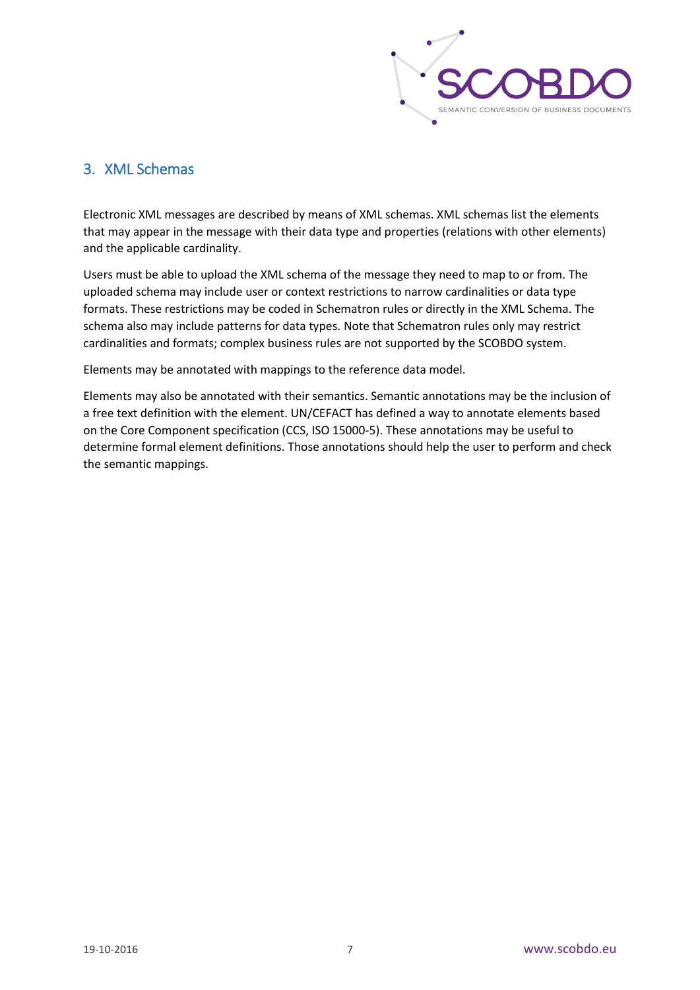

## <span id="page-7-0"></span>3. XML Schemas

Electronic XML messages are described by means of XML schemas. XML schemas list the elements that may appear in the message with their data type and properties (relations with other elements) and the applicable cardinality.

Users must be able to upload the XML schema of the message they need to map to or from. The uploaded schema may include user or context restrictions to narrow cardinalities or data type formats. These restrictions may be coded in Schematron rules or directly in the XML Schema. The schema also may include patterns for data types. Note that Schematron rules only may restrict cardinalities and formats; complex business rules are not supported by the SCOBDO system.

Elements may be annotated with mappings to the reference data model.

Elements may also be annotated with their semantics. Semantic annotations may be the inclusion of a free text definition with the element. UN/CEFACT has defined a way to annotate elements based on the Core Component specification (CCS, ISO 15000-5). These annotations may be useful to determine formal element definitions. Those annotations should help the user to perform and check the semantic mappings.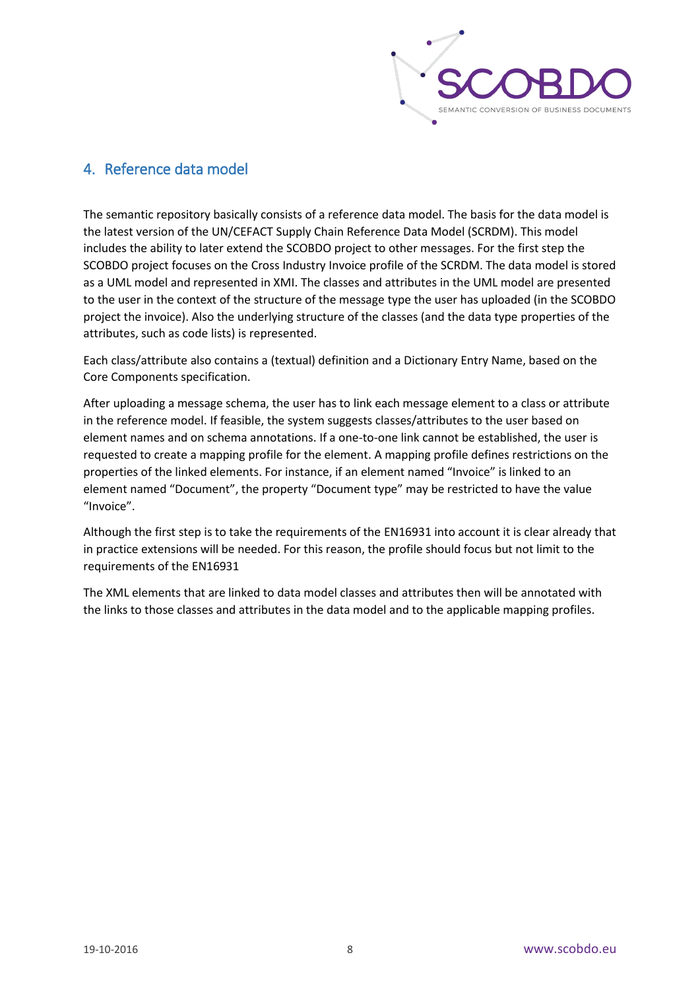

### <span id="page-8-0"></span>4. Reference data model

The semantic repository basically consists of a reference data model. The basis for the data model is the latest version of the UN/CEFACT Supply Chain Reference Data Model (SCRDM). This model includes the ability to later extend the SCOBDO project to other messages. For the first step the SCOBDO project focuses on the Cross Industry Invoice profile of the SCRDM. The data model is stored as a UML model and represented in XMI. The classes and attributes in the UML model are presented to the user in the context of the structure of the message type the user has uploaded (in the SCOBDO project the invoice). Also the underlying structure of the classes (and the data type properties of the attributes, such as code lists) is represented.

Each class/attribute also contains a (textual) definition and a Dictionary Entry Name, based on the Core Components specification.

After uploading a message schema, the user has to link each message element to a class or attribute in the reference model. If feasible, the system suggests classes/attributes to the user based on element names and on schema annotations. If a one-to-one link cannot be established, the user is requested to create a mapping profile for the element. A mapping profile defines restrictions on the properties of the linked elements. For instance, if an element named "Invoice" is linked to an element named "Document", the property "Document type" may be restricted to have the value "Invoice".

Although the first step is to take the requirements of the EN16931 into account it is clear already that in practice extensions will be needed. For this reason, the profile should focus but not limit to the requirements of the EN16931

The XML elements that are linked to data model classes and attributes then will be annotated with the links to those classes and attributes in the data model and to the applicable mapping profiles.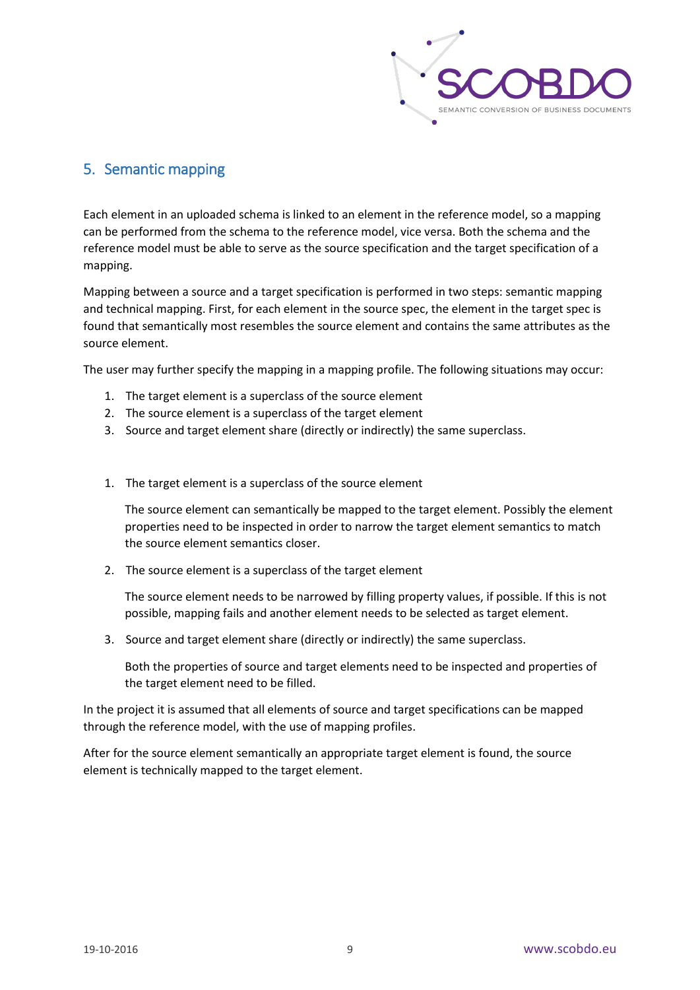

# <span id="page-9-0"></span>5. Semantic mapping

Each element in an uploaded schema is linked to an element in the reference model, so a mapping can be performed from the schema to the reference model, vice versa. Both the schema and the reference model must be able to serve as the source specification and the target specification of a mapping.

Mapping between a source and a target specification is performed in two steps: semantic mapping and technical mapping. First, for each element in the source spec, the element in the target spec is found that semantically most resembles the source element and contains the same attributes as the source element.

The user may further specify the mapping in a mapping profile. The following situations may occur:

- 1. The target element is a superclass of the source element
- 2. The source element is a superclass of the target element
- 3. Source and target element share (directly or indirectly) the same superclass.
- 1. The target element is a superclass of the source element

The source element can semantically be mapped to the target element. Possibly the element properties need to be inspected in order to narrow the target element semantics to match the source element semantics closer.

2. The source element is a superclass of the target element

The source element needs to be narrowed by filling property values, if possible. If this is not possible, mapping fails and another element needs to be selected as target element.

3. Source and target element share (directly or indirectly) the same superclass.

Both the properties of source and target elements need to be inspected and properties of the target element need to be filled.

In the project it is assumed that all elements of source and target specifications can be mapped through the reference model, with the use of mapping profiles.

After for the source element semantically an appropriate target element is found, the source element is technically mapped to the target element.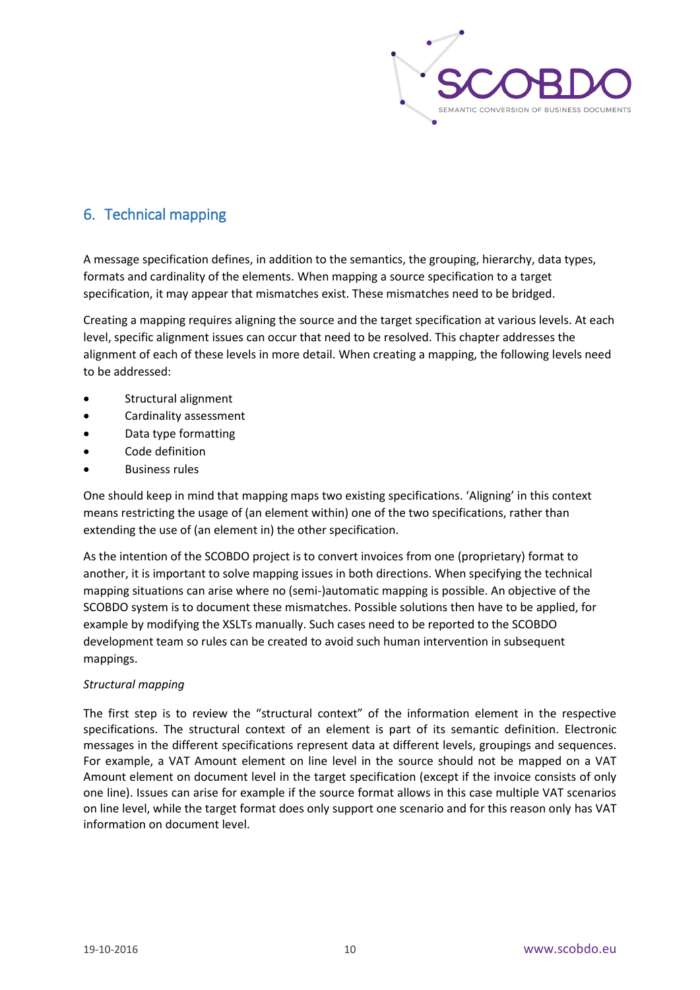

# <span id="page-10-0"></span>6. Technical mapping

A message specification defines, in addition to the semantics, the grouping, hierarchy, data types, formats and cardinality of the elements. When mapping a source specification to a target specification, it may appear that mismatches exist. These mismatches need to be bridged.

Creating a mapping requires aligning the source and the target specification at various levels. At each level, specific alignment issues can occur that need to be resolved. This chapter addresses the alignment of each of these levels in more detail. When creating a mapping, the following levels need to be addressed:

- Structural alignment
- Cardinality assessment
- Data type formatting
- Code definition
- **Business rules**

One should keep in mind that mapping maps two existing specifications. 'Aligning' in this context means restricting the usage of (an element within) one of the two specifications, rather than extending the use of (an element in) the other specification.

As the intention of the SCOBDO project is to convert invoices from one (proprietary) format to another, it is important to solve mapping issues in both directions. When specifying the technical mapping situations can arise where no (semi-)automatic mapping is possible. An objective of the SCOBDO system is to document these mismatches. Possible solutions then have to be applied, for example by modifying the XSLTs manually. Such cases need to be reported to the SCOBDO development team so rules can be created to avoid such human intervention in subsequent mappings.

#### <span id="page-10-1"></span>*Structural mapping*

The first step is to review the "structural context" of the information element in the respective specifications. The structural context of an element is part of its semantic definition. Electronic messages in the different specifications represent data at different levels, groupings and sequences. For example, a VAT Amount element on line level in the source should not be mapped on a VAT Amount element on document level in the target specification (except if the invoice consists of only one line). Issues can arise for example if the source format allows in this case multiple VAT scenarios on line level, while the target format does only support one scenario and for this reason only has VAT information on document level.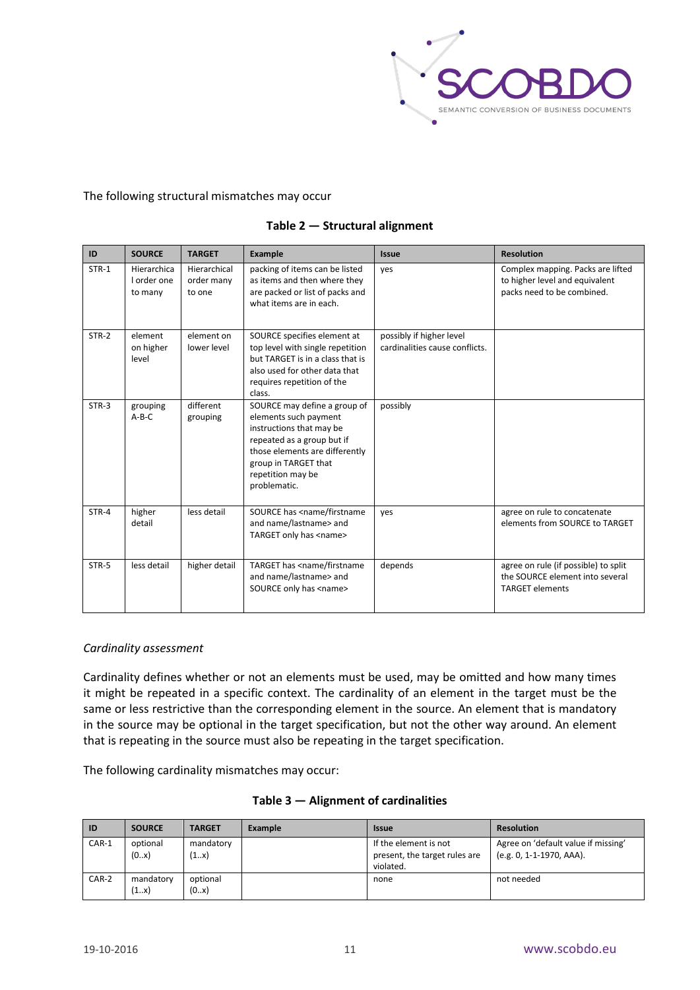

#### The following structural mismatches may occur

| ID      | <b>SOURCE</b>                         | <b>TARGET</b>                        | <b>Example</b>                                                                                                                                                                                                 | <b>Issue</b>                                               | <b>Resolution</b>                                                                                 |
|---------|---------------------------------------|--------------------------------------|----------------------------------------------------------------------------------------------------------------------------------------------------------------------------------------------------------------|------------------------------------------------------------|---------------------------------------------------------------------------------------------------|
| $STR-1$ | Hierarchica<br>I order one<br>to many | Hierarchical<br>order many<br>to one | packing of items can be listed<br>as items and then where they<br>are packed or list of packs and<br>what items are in each.                                                                                   | yes                                                        | Complex mapping. Packs are lifted<br>to higher level and equivalent<br>packs need to be combined. |
| $STR-2$ | element<br>on higher<br>level         | element on<br>lower level            | SOURCE specifies element at<br>top level with single repetition<br>but TARGET is in a class that is<br>also used for other data that<br>requires repetition of the<br>class.                                   | possibly if higher level<br>cardinalities cause conflicts. |                                                                                                   |
| $STR-3$ | grouping<br>$A-B-C$                   | different<br>grouping                | SOURCE may define a group of<br>elements such payment<br>instructions that may be<br>repeated as a group but if<br>those elements are differently<br>group in TARGET that<br>repetition may be<br>problematic. | possibly                                                   |                                                                                                   |
| STR-4   | higher<br>detail                      | less detail                          | SOURCE has <name firstname<br="">and name/lastname&gt; and<br/>TARGET only has <name></name></name>                                                                                                            | yes                                                        | agree on rule to concatenate<br>elements from SOURCE to TARGET                                    |
| STR-5   | less detail                           | higher detail                        | TARGET has <name firstname<br="">and name/lastname&gt; and<br/>SOURCE only has <name></name></name>                                                                                                            | depends                                                    | agree on rule (if possible) to split<br>the SOURCE element into several<br><b>TARGET elements</b> |

#### **Table 2 — Structural alignment**

#### <span id="page-11-0"></span>*Cardinality assessment*

Cardinality defines whether or not an elements must be used, may be omitted and how many times it might be repeated in a specific context. The cardinality of an element in the target must be the same or less restrictive than the corresponding element in the source. An element that is mandatory in the source may be optional in the target specification, but not the other way around. An element that is repeating in the source must also be repeating in the target specification.

The following cardinality mismatches may occur:

|  |  | Table 3 – Alignment of cardinalities |  |
|--|--|--------------------------------------|--|
|--|--|--------------------------------------|--|

| <b>ID</b> | <b>SOURCE</b> | <b>TARGET</b> | <b>Example</b> | <b>Issue</b>                  | <b>Resolution</b>                   |
|-----------|---------------|---------------|----------------|-------------------------------|-------------------------------------|
| $CAR-1$   | optional      | mandatory     |                | If the element is not         | Agree on 'default value if missing' |
|           | (0.x)         | (1x)          |                | present, the target rules are | (e.g. 0, 1-1-1970, AAA).            |
|           |               |               |                | violated.                     |                                     |
| CAR-2     | mandatory     | optional      |                | none                          | not needed                          |
|           | (1x)          | (0x)          |                |                               |                                     |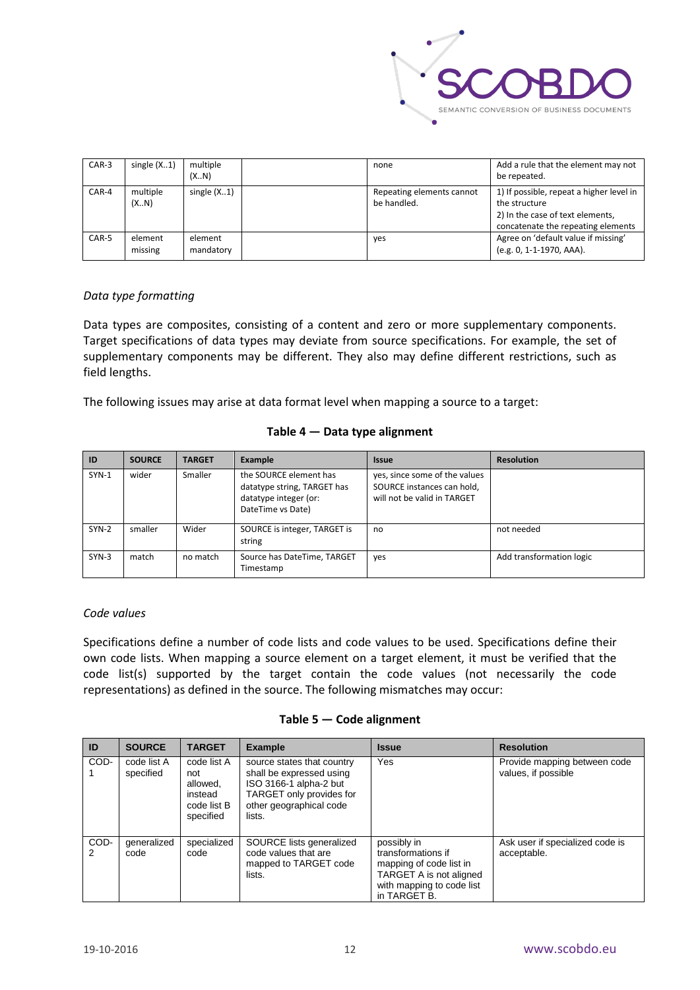

| $CAR-3$ | single $(X1)$      | multiple<br>(XN)     | none                                     | Add a rule that the element may not<br>be repeated.                                                                                 |
|---------|--------------------|----------------------|------------------------------------------|-------------------------------------------------------------------------------------------------------------------------------------|
| CAR-4   | multiple<br>(X.N)  | single $(X1)$        | Repeating elements cannot<br>be handled. | 1) If possible, repeat a higher level in<br>the structure<br>2) In the case of text elements,<br>concatenate the repeating elements |
| CAR-5   | element<br>missing | element<br>mandatory | yes                                      | Agree on 'default value if missing'<br>(e.g. 0, 1-1-1970, AAA).                                                                     |

#### <span id="page-12-0"></span>*Data type formatting*

Data types are composites, consisting of a content and zero or more supplementary components. Target specifications of data types may deviate from source specifications. For example, the set of supplementary components may be different. They also may define different restrictions, such as field lengths.

The following issues may arise at data format level when mapping a source to a target:

#### **Table 4 — Data type alignment**

| ID      | <b>SOURCE</b> | <b>TARGET</b> | Example                                                                                             | <b>Issue</b>                                                                               | <b>Resolution</b>        |
|---------|---------------|---------------|-----------------------------------------------------------------------------------------------------|--------------------------------------------------------------------------------------------|--------------------------|
| $SYN-1$ | wider         | Smaller       | the SOURCE element has<br>datatype string, TARGET has<br>datatype integer (or:<br>DateTime vs Date) | yes, since some of the values<br>SOURCE instances can hold,<br>will not be valid in TARGET |                          |
| $SYN-2$ | smaller       | Wider         | SOURCE is integer, TARGET is<br>string                                                              | no                                                                                         | not needed               |
| $SYN-3$ | match         | no match      | Source has DateTime, TARGET<br>Timestamp                                                            | yes                                                                                        | Add transformation logic |

#### <span id="page-12-1"></span>*Code values*

Specifications define a number of code lists and code values to be used. Specifications define their own code lists. When mapping a source element on a target element, it must be verified that the code list(s) supported by the target contain the code values (not necessarily the code representations) as defined in the source. The following mismatches may occur:

#### **Table 5 — Code alignment**

| ID        | <b>SOURCE</b>            | <b>TARGET</b>                                                         | <b>Example</b>                                                                                                                                    | <b>Issue</b>                                                                                                                         | <b>Resolution</b>                                   |
|-----------|--------------------------|-----------------------------------------------------------------------|---------------------------------------------------------------------------------------------------------------------------------------------------|--------------------------------------------------------------------------------------------------------------------------------------|-----------------------------------------------------|
| COD-      | code list A<br>specified | code list A<br>not<br>allowed.<br>instead<br>code list B<br>specified | source states that country<br>shall be expressed using<br>ISO 3166-1 alpha-2 but<br>TARGET only provides for<br>other geographical code<br>lists. | Yes                                                                                                                                  | Provide mapping between code<br>values, if possible |
| COD-<br>2 | generalized<br>code      | specialized<br>code                                                   | SOURCE lists generalized<br>code values that are<br>mapped to TARGET code<br>lists.                                                               | possibly in<br>transformations if<br>mapping of code list in<br>TARGET A is not aligned<br>with mapping to code list<br>in TARGET B. | Ask user if specialized code is<br>acceptable.      |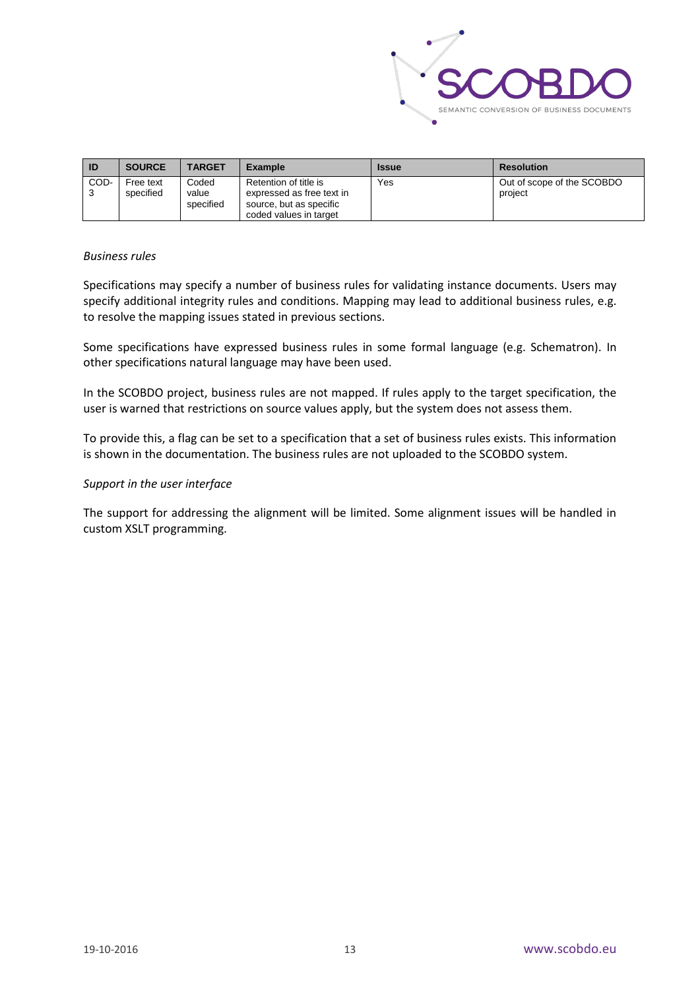

| ID   | <b>SOURCE</b>          | <b>TARGET</b>               | <b>Example</b>                                                                                          | <b>Issue</b> | <b>Resolution</b>                     |
|------|------------------------|-----------------------------|---------------------------------------------------------------------------------------------------------|--------------|---------------------------------------|
| COD- | Free text<br>specified | Coded<br>value<br>specified | Retention of title is<br>expressed as free text in<br>source, but as specific<br>coded values in target | Yes          | Out of scope of the SCOBDO<br>project |

#### <span id="page-13-0"></span>*Business rules*

Specifications may specify a number of business rules for validating instance documents. Users may specify additional integrity rules and conditions. Mapping may lead to additional business rules, e.g. to resolve the mapping issues stated in previous sections.

Some specifications have expressed business rules in some formal language (e.g. Schematron). In other specifications natural language may have been used.

In the SCOBDO project, business rules are not mapped. If rules apply to the target specification, the user is warned that restrictions on source values apply, but the system does not assess them.

To provide this, a flag can be set to a specification that a set of business rules exists. This information is shown in the documentation. The business rules are not uploaded to the SCOBDO system.

#### <span id="page-13-1"></span>*Support in the user interface*

The support for addressing the alignment will be limited. Some alignment issues will be handled in custom XSLT programming.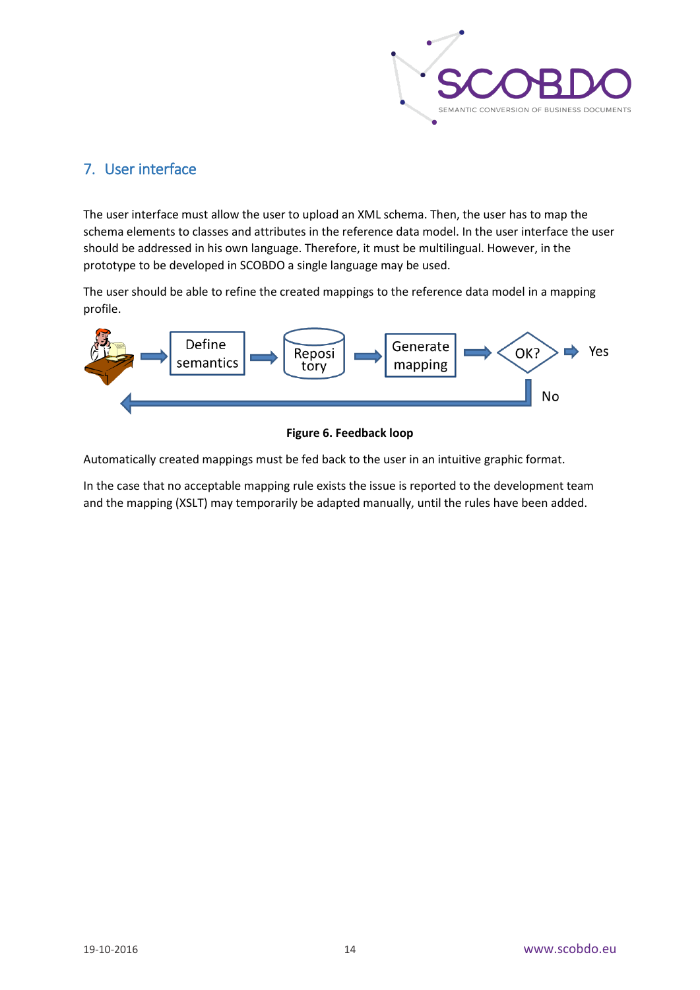

# <span id="page-14-0"></span>7. User interface

The user interface must allow the user to upload an XML schema. Then, the user has to map the schema elements to classes and attributes in the reference data model. In the user interface the user should be addressed in his own language. Therefore, it must be multilingual. However, in the prototype to be developed in SCOBDO a single language may be used.

The user should be able to refine the created mappings to the reference data model in a mapping profile.



**Figure 6. Feedback loop**

Automatically created mappings must be fed back to the user in an intuitive graphic format.

In the case that no acceptable mapping rule exists the issue is reported to the development team and the mapping (XSLT) may temporarily be adapted manually, until the rules have been added.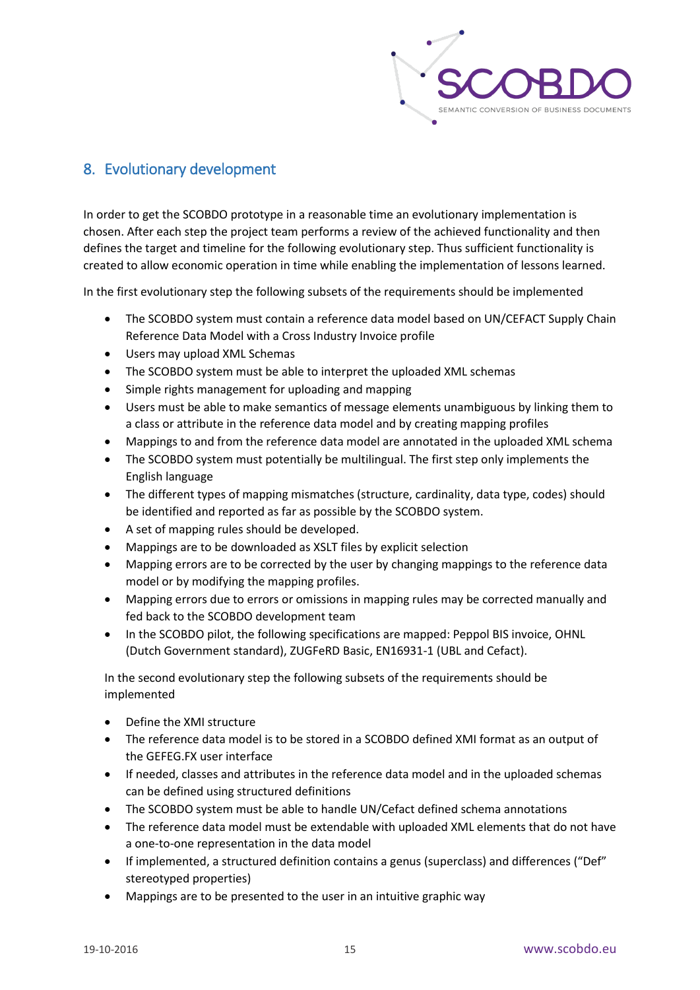

# <span id="page-15-0"></span>8. Evolutionary development

In order to get the SCOBDO prototype in a reasonable time an evolutionary implementation is chosen. After each step the project team performs a review of the achieved functionality and then defines the target and timeline for the following evolutionary step. Thus sufficient functionality is created to allow economic operation in time while enabling the implementation of lessons learned.

In the first evolutionary step the following subsets of the requirements should be implemented

- The SCOBDO system must contain a reference data model based on UN/CEFACT Supply Chain Reference Data Model with a Cross Industry Invoice profile
- Users may upload XML Schemas
- The SCOBDO system must be able to interpret the uploaded XML schemas
- Simple rights management for uploading and mapping
- Users must be able to make semantics of message elements unambiguous by linking them to a class or attribute in the reference data model and by creating mapping profiles
- Mappings to and from the reference data model are annotated in the uploaded XML schema
- The SCOBDO system must potentially be multilingual. The first step only implements the English language
- The different types of mapping mismatches (structure, cardinality, data type, codes) should be identified and reported as far as possible by the SCOBDO system.
- A set of mapping rules should be developed.
- Mappings are to be downloaded as XSLT files by explicit selection
- Mapping errors are to be corrected by the user by changing mappings to the reference data model or by modifying the mapping profiles.
- Mapping errors due to errors or omissions in mapping rules may be corrected manually and fed back to the SCOBDO development team
- In the SCOBDO pilot, the following specifications are mapped: Peppol BIS invoice, OHNL (Dutch Government standard), ZUGFeRD Basic, EN16931-1 (UBL and Cefact).

In the second evolutionary step the following subsets of the requirements should be implemented

- Define the XMI structure
- The reference data model is to be stored in a SCOBDO defined XMI format as an output of the GEFEG.FX user interface
- If needed, classes and attributes in the reference data model and in the uploaded schemas can be defined using structured definitions
- The SCOBDO system must be able to handle UN/Cefact defined schema annotations
- The reference data model must be extendable with uploaded XML elements that do not have a one-to-one representation in the data model
- If implemented, a structured definition contains a genus (superclass) and differences ("Def" stereotyped properties)
- Mappings are to be presented to the user in an intuitive graphic way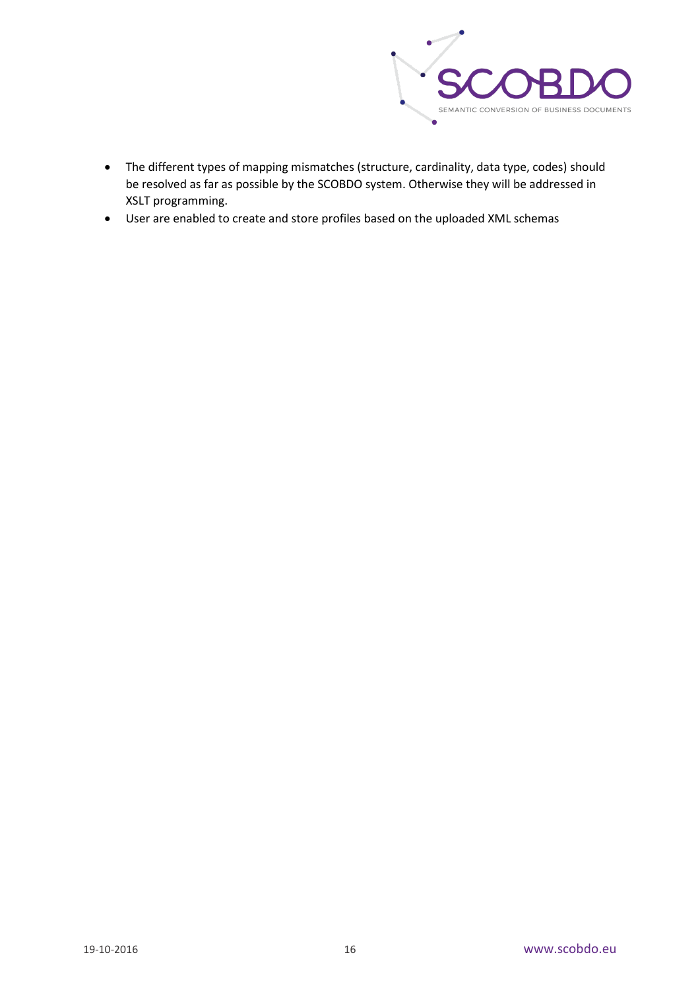

- The different types of mapping mismatches (structure, cardinality, data type, codes) should be resolved as far as possible by the SCOBDO system. Otherwise they will be addressed in XSLT programming.
- User are enabled to create and store profiles based on the uploaded XML schemas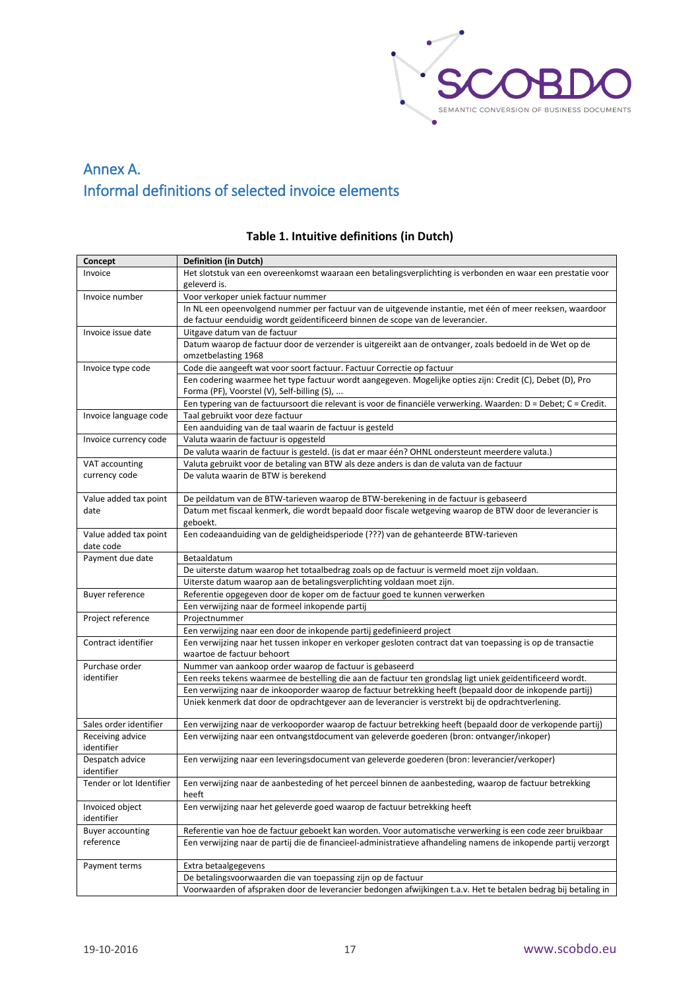

# <span id="page-17-0"></span>Annex A. Informal definitions of selected invoice elements

| Concept                  | <b>Definition (in Dutch)</b>                                                                                                                                                                     |
|--------------------------|--------------------------------------------------------------------------------------------------------------------------------------------------------------------------------------------------|
| Invoice                  | Het slotstuk van een overeenkomst waaraan een betalingsverplichting is verbonden en waar een prestatie voor                                                                                      |
|                          | geleverd is.                                                                                                                                                                                     |
| Invoice number           | Voor verkoper uniek factuur nummer                                                                                                                                                               |
|                          | In NL een opeenvolgend nummer per factuur van de uitgevende instantie, met één of meer reeksen, waardoor                                                                                         |
|                          | de factuur eenduidig wordt geïdentificeerd binnen de scope van de leverancier.                                                                                                                   |
| Invoice issue date       | Uitgave datum van de factuur                                                                                                                                                                     |
|                          | Datum waarop de factuur door de verzender is uitgereikt aan de ontvanger, zoals bedoeld in de Wet op de                                                                                          |
|                          | omzetbelasting 1968                                                                                                                                                                              |
| Invoice type code        | Code die aangeeft wat voor soort factuur. Factuur Correctie op factuur                                                                                                                           |
|                          | Een codering waarmee het type factuur wordt aangegeven. Mogelijke opties zijn: Credit (C), Debet (D), Pro                                                                                        |
|                          | Forma (PF), Voorstel (V), Self-billing (S),                                                                                                                                                      |
|                          | Een typering van de factuursoort die relevant is voor de financiële verwerking. Waarden: D = Debet; C = Credit.                                                                                  |
| Invoice language code    | Taal gebruikt voor deze factuur                                                                                                                                                                  |
|                          | Een aanduiding van de taal waarin de factuur is gesteld                                                                                                                                          |
| Invoice currency code    | Valuta waarin de factuur is opgesteld                                                                                                                                                            |
|                          | De valuta waarin de factuur is gesteld. (is dat er maar één? OHNL ondersteunt meerdere valuta.)                                                                                                  |
| VAT accounting           | Valuta gebruikt voor de betaling van BTW als deze anders is dan de valuta van de factuur                                                                                                         |
| currency code            | De valuta waarin de BTW is berekend                                                                                                                                                              |
| Value added tax point    |                                                                                                                                                                                                  |
| date                     | De peildatum van de BTW-tarieven waarop de BTW-berekening in de factuur is gebaseerd<br>Datum met fiscaal kenmerk, die wordt bepaald door fiscale wetgeving waarop de BTW door de leverancier is |
|                          | geboekt.                                                                                                                                                                                         |
| Value added tax point    | Een codeaanduiding van de geldigheidsperiode (???) van de gehanteerde BTW-tarieven                                                                                                               |
| date code                |                                                                                                                                                                                                  |
| Payment due date         | Betaaldatum                                                                                                                                                                                      |
|                          | De uiterste datum waarop het totaalbedrag zoals op de factuur is vermeld moet zijn voldaan.                                                                                                      |
|                          | Uiterste datum waarop aan de betalingsverplichting voldaan moet zijn.                                                                                                                            |
| Buyer reference          | Referentie opgegeven door de koper om de factuur goed te kunnen verwerken                                                                                                                        |
|                          | Een verwijzing naar de formeel inkopende partij                                                                                                                                                  |
| Project reference        | Projectnummer                                                                                                                                                                                    |
|                          | Een verwijzing naar een door de inkopende partij gedefinieerd project                                                                                                                            |
| Contract identifier      | Een verwijzing naar het tussen inkoper en verkoper gesloten contract dat van toepassing is op de transactie                                                                                      |
|                          | waartoe de factuur behoort                                                                                                                                                                       |
| Purchase order           | Nummer van aankoop order waarop de factuur is gebaseerd                                                                                                                                          |
| identifier               | Een reeks tekens waarmee de bestelling die aan de factuur ten grondslag ligt uniek geïdentificeerd wordt.                                                                                        |
|                          | Een verwijzing naar de inkooporder waarop de factuur betrekking heeft (bepaald door de inkopende partij)                                                                                         |
|                          | Uniek kenmerk dat door de opdrachtgever aan de leverancier is verstrekt bij de opdrachtverlening.                                                                                                |
|                          |                                                                                                                                                                                                  |
| Sales order identifier   | Een verwijzing naar de verkooporder waarop de factuur betrekking heeft (bepaald door de verkopende partij)                                                                                       |
| Receiving advice         | Een verwijzing naar een ontvangstdocument van geleverde goederen (bron: ontvanger/inkoper)                                                                                                       |
| identifier               |                                                                                                                                                                                                  |
| Despatch advice          | Een verwijzing naar een leveringsdocument van geleverde goederen (bron: leverancier/verkoper)                                                                                                    |
| identifier               |                                                                                                                                                                                                  |
| Tender or lot Identifier | Een verwijzing naar de aanbesteding of het perceel binnen de aanbesteding, waarop de factuur betrekking<br>heeft                                                                                 |
| Invoiced object          | Een verwijzing naar het geleverde goed waarop de factuur betrekking heeft                                                                                                                        |
| identifier               |                                                                                                                                                                                                  |
| <b>Buyer accounting</b>  | Referentie van hoe de factuur geboekt kan worden. Voor automatische verwerking is een code zeer bruikbaar                                                                                        |
| reference                | Een verwijzing naar de partij die de financieel-administratieve afhandeling namens de inkopende partij verzorgt                                                                                  |
|                          |                                                                                                                                                                                                  |
| Payment terms            | Extra betaalgegevens                                                                                                                                                                             |
|                          | De betalingsvoorwaarden die van toepassing zijn op de factuur                                                                                                                                    |
|                          | Voorwaarden of afspraken door de leverancier bedongen afwijkingen t.a.v. Het te betalen bedrag bij betaling in                                                                                   |

#### **Table 1. Intuitive definitions (in Dutch)**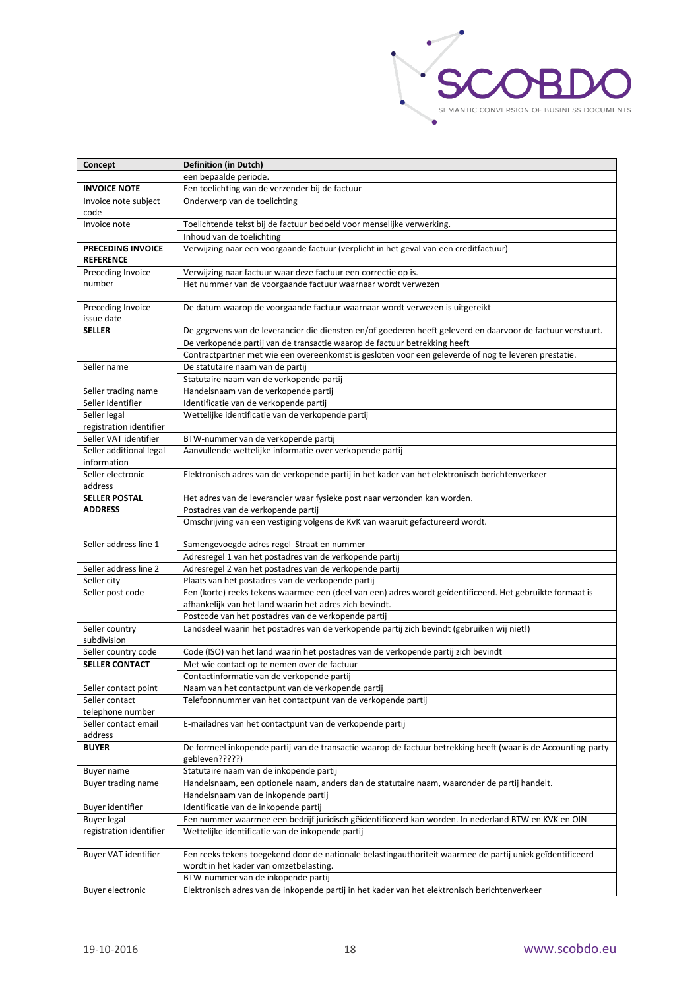

| Concept                               | <b>Definition (in Dutch)</b>                                                                                  |
|---------------------------------------|---------------------------------------------------------------------------------------------------------------|
|                                       | een bepaalde periode.                                                                                         |
| <b>INVOICE NOTE</b>                   | Een toelichting van de verzender bij de factuur                                                               |
| Invoice note subject                  | Onderwerp van de toelichting                                                                                  |
| code                                  |                                                                                                               |
| Invoice note                          | Toelichtende tekst bij de factuur bedoeld voor menselijke verwerking.                                         |
|                                       | Inhoud van de toelichting                                                                                     |
| PRECEDING INVOICE<br><b>REFERENCE</b> | Verwijzing naar een voorgaande factuur (verplicht in het geval van een creditfactuur)                         |
| Preceding Invoice                     | Verwijzing naar factuur waar deze factuur een correctie op is.                                                |
| number                                | Het nummer van de voorgaande factuur waarnaar wordt verwezen                                                  |
| Preceding Invoice<br>issue date       | De datum waarop de voorgaande factuur waarnaar wordt verwezen is uitgereikt                                   |
| <b>SELLER</b>                         | De gegevens van de leverancier die diensten en/of goederen heeft geleverd en daarvoor de factuur verstuurt.   |
|                                       | De verkopende partij van de transactie waarop de factuur betrekking heeft                                     |
|                                       | Contractpartner met wie een overeenkomst is gesloten voor een geleverde of nog te leveren prestatie.          |
| Seller name                           | De statutaire naam van de partij                                                                              |
|                                       | Statutaire naam van de verkopende partij                                                                      |
| Seller trading name                   | Handelsnaam van de verkopende partij                                                                          |
| Seller identifier                     | Identificatie van de verkopende partij                                                                        |
| Seller legal                          | Wettelijke identificatie van de verkopende partij                                                             |
| registration identifier               |                                                                                                               |
| Seller VAT identifier                 | BTW-nummer van de verkopende partij                                                                           |
| Seller additional legal               | Aanvullende wettelijke informatie over verkopende partij                                                      |
| information                           |                                                                                                               |
| Seller electronic                     | Elektronisch adres van de verkopende partij in het kader van het elektronisch berichtenverkeer                |
| address                               |                                                                                                               |
| <b>SELLER POSTAL</b>                  | Het adres van de leverancier waar fysieke post naar verzonden kan worden.                                     |
| <b>ADDRESS</b>                        | Postadres van de verkopende partij                                                                            |
|                                       | Omschrijving van een vestiging volgens de KvK van waaruit gefactureerd wordt.                                 |
| Seller address line 1                 | Samengevoegde adres regel Straat en nummer                                                                    |
|                                       | Adresregel 1 van het postadres van de verkopende partij                                                       |
| Seller address line 2                 | Adresregel 2 van het postadres van de verkopende partij                                                       |
| Seller city                           | Plaats van het postadres van de verkopende partij                                                             |
| Seller post code                      | Een (korte) reeks tekens waarmee een (deel van een) adres wordt geïdentificeerd. Het gebruikte formaat is     |
|                                       | afhankelijk van het land waarin het adres zich bevindt.                                                       |
|                                       | Postcode van het postadres van de verkopende partij                                                           |
| Seller country<br>subdivision         | Landsdeel waarin het postadres van de verkopende partij zich bevindt (gebruiken wij niet!)                    |
| Seller country code                   | Code (ISO) van het land waarin het postadres van de verkopende partij zich bevindt                            |
| <b>SELLER CONTACT</b>                 | Met wie contact op te nemen over de factuur                                                                   |
|                                       | Contactinformatie van de verkopende partij                                                                    |
| Seller contact point                  | Naam van het contactpunt van de verkopende partij                                                             |
| Seller contact                        | Telefoonnummer van het contactpunt van de verkopende partij                                                   |
| telephone number                      |                                                                                                               |
| Seller contact email                  | E-mailadres van het contactpunt van de verkopende partij                                                      |
| address                               |                                                                                                               |
| <b>BUYER</b>                          | De formeel inkopende partij van de transactie waarop de factuur betrekking heeft (waar is de Accounting-party |
|                                       | gebleven?????)                                                                                                |
| Buyer name                            | Statutaire naam van de inkopende partij                                                                       |
| Buyer trading name                    | Handelsnaam, een optionele naam, anders dan de statutaire naam, waaronder de partij handelt.                  |
|                                       | Handelsnaam van de inkopende partij                                                                           |
| Buyer identifier                      | Identificatie van de inkopende partij                                                                         |
| Buyer legal                           | Een nummer waarmee een bedrijf juridisch gëidentificeerd kan worden. In nederland BTW en KVK en OIN           |
| registration identifier               | Wettelijke identificatie van de inkopende partij                                                              |
| Buyer VAT identifier                  | Een reeks tekens toegekend door de nationale belastingauthoriteit waarmee de partij uniek geïdentificeerd     |
|                                       | wordt in het kader van omzetbelasting.                                                                        |
|                                       | BTW-nummer van de inkopende partij                                                                            |
| Buyer electronic                      | Elektronisch adres van de inkopende partij in het kader van het elektronisch berichtenverkeer                 |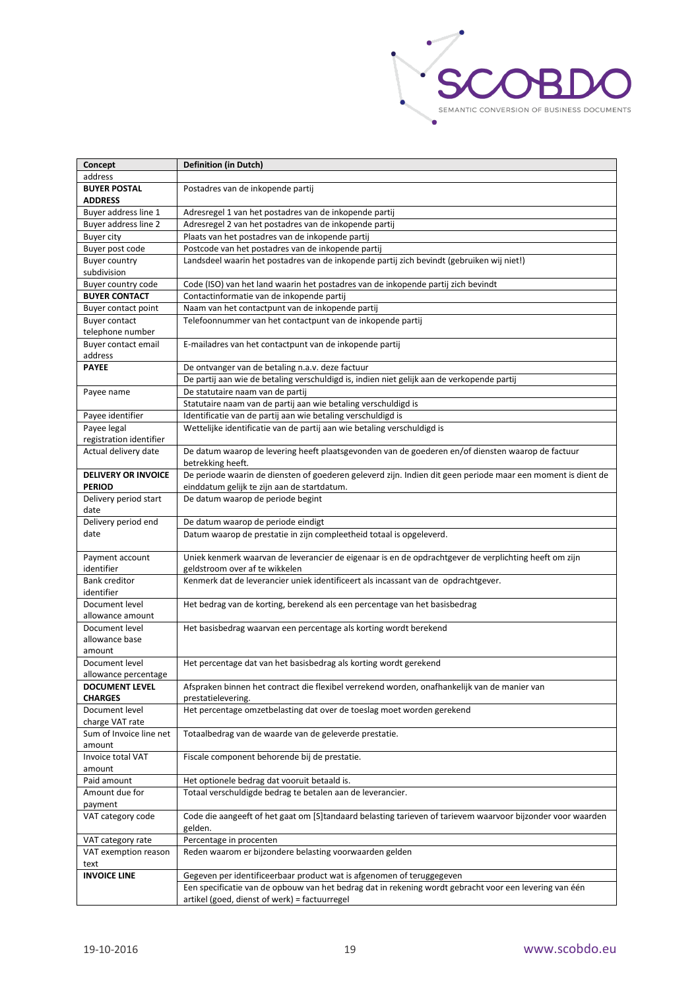

| Concept                    | <b>Definition (in Dutch)</b>                                                                                 |
|----------------------------|--------------------------------------------------------------------------------------------------------------|
| address                    |                                                                                                              |
| <b>BUYER POSTAL</b>        | Postadres van de inkopende partij                                                                            |
| <b>ADDRESS</b>             |                                                                                                              |
| Buyer address line 1       | Adresregel 1 van het postadres van de inkopende partij                                                       |
| Buyer address line 2       | Adresregel 2 van het postadres van de inkopende partij                                                       |
| <b>Buyer city</b>          | Plaats van het postadres van de inkopende partij                                                             |
| Buyer post code            | Postcode van het postadres van de inkopende partij                                                           |
| <b>Buyer country</b>       | Landsdeel waarin het postadres van de inkopende partij zich bevindt (gebruiken wij niet!)                    |
| subdivision                |                                                                                                              |
| Buyer country code         | Code (ISO) van het land waarin het postadres van de inkopende partij zich bevindt                            |
| <b>BUYER CONTACT</b>       | Contactinformatie van de inkopende partij                                                                    |
| Buyer contact point        | Naam van het contactpunt van de inkopende partij                                                             |
| <b>Buyer contact</b>       | Telefoonnummer van het contactpunt van de inkopende partij                                                   |
| telephone number           |                                                                                                              |
| Buyer contact email        | E-mailadres van het contactpunt van de inkopende partij                                                      |
| address                    |                                                                                                              |
| <b>PAYEE</b>               | De ontvanger van de betaling n.a.v. deze factuur                                                             |
|                            | De partij aan wie de betaling verschuldigd is, indien niet gelijk aan de verkopende partij                   |
| Payee name                 | De statutaire naam van de partij                                                                             |
|                            | Statutaire naam van de partij aan wie betaling verschuldigd is                                               |
| Payee identifier           | Identificatie van de partij aan wie betaling verschuldigd is                                                 |
| Payee legal                | Wettelijke identificatie van de partij aan wie betaling verschuldigd is                                      |
| registration identifier    |                                                                                                              |
| Actual delivery date       | De datum waarop de levering heeft plaatsgevonden van de goederen en/of diensten waarop de factuur            |
|                            | betrekking heeft.                                                                                            |
| <b>DELIVERY OR INVOICE</b> | De periode waarin de diensten of goederen geleverd zijn. Indien dit geen periode maar een moment is dient de |
| <b>PERIOD</b>              | einddatum gelijk te zijn aan de startdatum.                                                                  |
| Delivery period start      | De datum waarop de periode begint                                                                            |
| date                       |                                                                                                              |
| Delivery period end        | De datum waarop de periode eindigt                                                                           |
| date                       | Datum waarop de prestatie in zijn compleetheid totaal is opgeleverd.                                         |
| Payment account            | Uniek kenmerk waarvan de leverancier de eigenaar is en de opdrachtgever de verplichting heeft om zijn        |
| identifier                 | geldstroom over af te wikkelen                                                                               |
| <b>Bank creditor</b>       | Kenmerk dat de leverancier uniek identificeert als incassant van de opdrachtgever.                           |
| identifier                 |                                                                                                              |
| Document level             | Het bedrag van de korting, berekend als een percentage van het basisbedrag                                   |
| allowance amount           |                                                                                                              |
| Document level             | Het basisbedrag waarvan een percentage als korting wordt berekend                                            |
| allowance base             |                                                                                                              |
| amount                     |                                                                                                              |
| Document level             | Het percentage dat van het basisbedrag als korting wordt gerekend                                            |
| allowance percentage       |                                                                                                              |
| <b>DOCUMENT LEVEL</b>      | Afspraken binnen het contract die flexibel verrekend worden, onafhankelijk van de manier van                 |
| <b>CHARGES</b>             | prestatielevering.                                                                                           |
| Document level             | Het percentage omzetbelasting dat over de toeslag moet worden gerekend                                       |
| charge VAT rate            |                                                                                                              |
| Sum of Invoice line net    | Totaalbedrag van de waarde van de geleverde prestatie.                                                       |
| amount                     |                                                                                                              |
| Invoice total VAT          | Fiscale component behorende bij de prestatie.                                                                |
| amount                     |                                                                                                              |
| Paid amount                | Het optionele bedrag dat vooruit betaald is.                                                                 |
| Amount due for             | Totaal verschuldigde bedrag te betalen aan de leverancier.                                                   |
| payment                    |                                                                                                              |
| VAT category code          | Code die aangeeft of het gaat om [S]tandaard belasting tarieven of tarievem waarvoor bijzonder voor waarden  |
|                            | gelden.                                                                                                      |
| VAT category rate          | Percentage in procenten                                                                                      |
| VAT exemption reason       | Reden waarom er bijzondere belasting voorwaarden gelden                                                      |
| text                       |                                                                                                              |
| <b>INVOICE LINE</b>        | Gegeven per identificeerbaar product wat is afgenomen of teruggegeven                                        |
|                            | Een specificatie van de opbouw van het bedrag dat in rekening wordt gebracht voor een levering van één       |
|                            | artikel (goed, dienst of werk) = factuurregel                                                                |